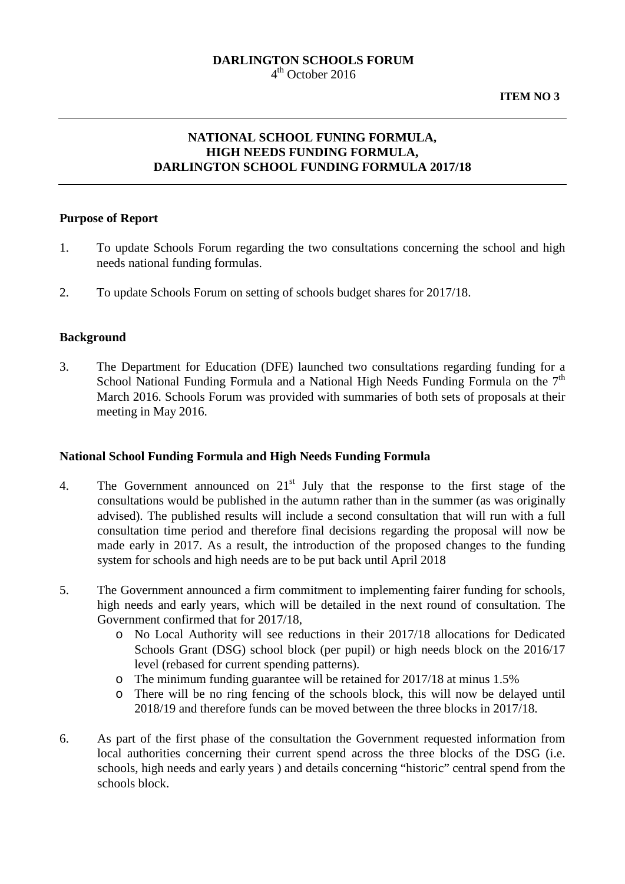# **DARLINGTON SCHOOLS FORUM**

4th October 2016

# **NATIONAL SCHOOL FUNING FORMULA, HIGH NEEDS FUNDING FORMULA, DARLINGTON SCHOOL FUNDING FORMULA 2017/18**

#### **Purpose of Report**

- 1. To update Schools Forum regarding the two consultations concerning the school and high needs national funding formulas.
- 2. To update Schools Forum on setting of schools budget shares for 2017/18.

#### **Background**

3. The Department for Education (DFE) launched two consultations regarding funding for a School National Funding Formula and a National High Needs Funding Formula on the  $7<sup>th</sup>$ March 2016. Schools Forum was provided with summaries of both sets of proposals at their meeting in May 2016.

#### **National School Funding Formula and High Needs Funding Formula**

- 4. The Government announced on 21<sup>st</sup> July that the response to the first stage of the consultations would be published in the autumn rather than in the summer (as was originally advised). The published results will include a second consultation that will run with a full consultation time period and therefore final decisions regarding the proposal will now be made early in 2017. As a result, the introduction of the proposed changes to the funding system for schools and high needs are to be put back until April 2018
- 5. The Government announced a firm commitment to implementing fairer funding for schools, high needs and early years, which will be detailed in the next round of consultation. The Government confirmed that for 2017/18,
	- o No Local Authority will see reductions in their 2017/18 allocations for Dedicated Schools Grant (DSG) school block (per pupil) or high needs block on the 2016/17 level (rebased for current spending patterns).
	- o The minimum funding guarantee will be retained for 2017/18 at minus 1.5%
	- o There will be no ring fencing of the schools block, this will now be delayed until 2018/19 and therefore funds can be moved between the three blocks in 2017/18.
- 6. As part of the first phase of the consultation the Government requested information from local authorities concerning their current spend across the three blocks of the DSG (i.e. schools, high needs and early years ) and details concerning "historic" central spend from the schools block.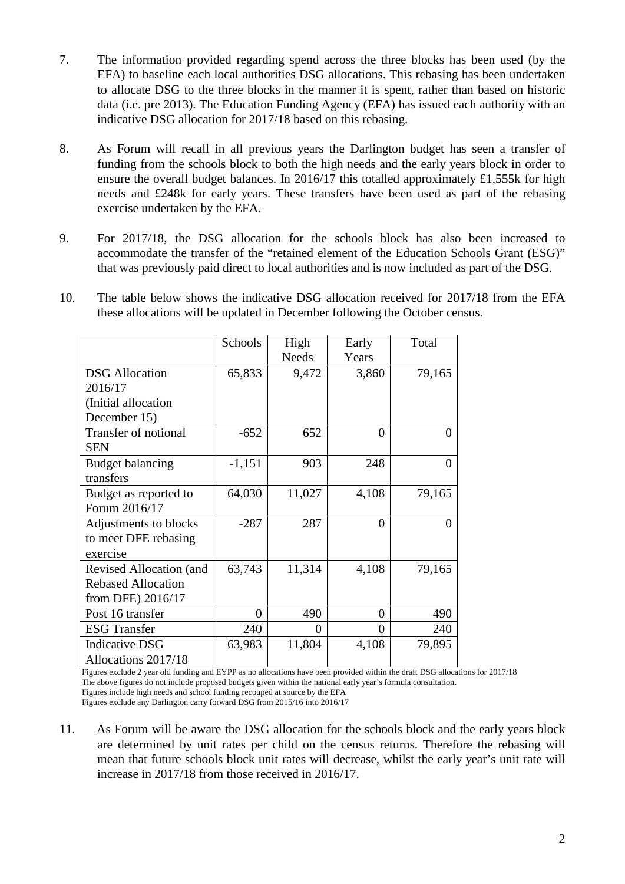- 7. The information provided regarding spend across the three blocks has been used (by the EFA) to baseline each local authorities DSG allocations. This rebasing has been undertaken to allocate DSG to the three blocks in the manner it is spent, rather than based on historic data (i.e. pre 2013). The Education Funding Agency (EFA) has issued each authority with an indicative DSG allocation for 2017/18 based on this rebasing.
- 8. As Forum will recall in all previous years the Darlington budget has seen a transfer of funding from the schools block to both the high needs and the early years block in order to ensure the overall budget balances. In 2016/17 this totalled approximately £1,555k for high needs and £248k for early years. These transfers have been used as part of the rebasing exercise undertaken by the EFA.
- 9. For 2017/18, the DSG allocation for the schools block has also been increased to accommodate the transfer of the "retained element of the Education Schools Grant (ESG)" that was previously paid direct to local authorities and is now included as part of the DSG.
- 10. The table below shows the indicative DSG allocation received for 2017/18 from the EFA these allocations will be updated in December following the October census.

|                           | <b>Schools</b> | High         | Early | Total    |
|---------------------------|----------------|--------------|-------|----------|
|                           |                | <b>Needs</b> | Years |          |
| <b>DSG</b> Allocation     | 65,833         | 9,472        | 3,860 | 79,165   |
| 2016/17                   |                |              |       |          |
| (Initial allocation       |                |              |       |          |
| December 15)              |                |              |       |          |
| Transfer of notional      | $-652$         | 652          | 0     | $\Omega$ |
| <b>SEN</b>                |                |              |       |          |
| <b>Budget balancing</b>   | $-1,151$       | 903          | 248   | $\theta$ |
| transfers                 |                |              |       |          |
| Budget as reported to     | 64,030         | 11,027       | 4,108 | 79,165   |
| Forum 2016/17             |                |              |       |          |
| Adjustments to blocks     | $-287$         | 287          | 0     | 0        |
| to meet DFE rebasing      |                |              |       |          |
| exercise                  |                |              |       |          |
| Revised Allocation (and   | 63,743         | 11,314       | 4,108 | 79,165   |
| <b>Rebased Allocation</b> |                |              |       |          |
| from DFE) 2016/17         |                |              |       |          |
| Post 16 transfer          | $\theta$       | 490          | 0     | 490      |
| <b>ESG</b> Transfer       | 240            | 0            | 0     | 240      |
| <b>Indicative DSG</b>     | 63,983         | 11,804       | 4,108 | 79,895   |
| Allocations 2017/18       |                |              |       |          |

Figures exclude 2 year old funding and EYPP as no allocations have been provided within the draft DSG allocations for 2017/18 The above figures do not include proposed budgets given within the national early year's formula consultation. Figures include high needs and school funding recouped at source by the EFA Figures exclude any Darlington carry forward DSG from 2015/16 into 2016/17

11. As Forum will be aware the DSG allocation for the schools block and the early years block are determined by unit rates per child on the census returns. Therefore the rebasing will mean that future schools block unit rates will decrease, whilst the early year's unit rate will increase in 2017/18 from those received in 2016/17.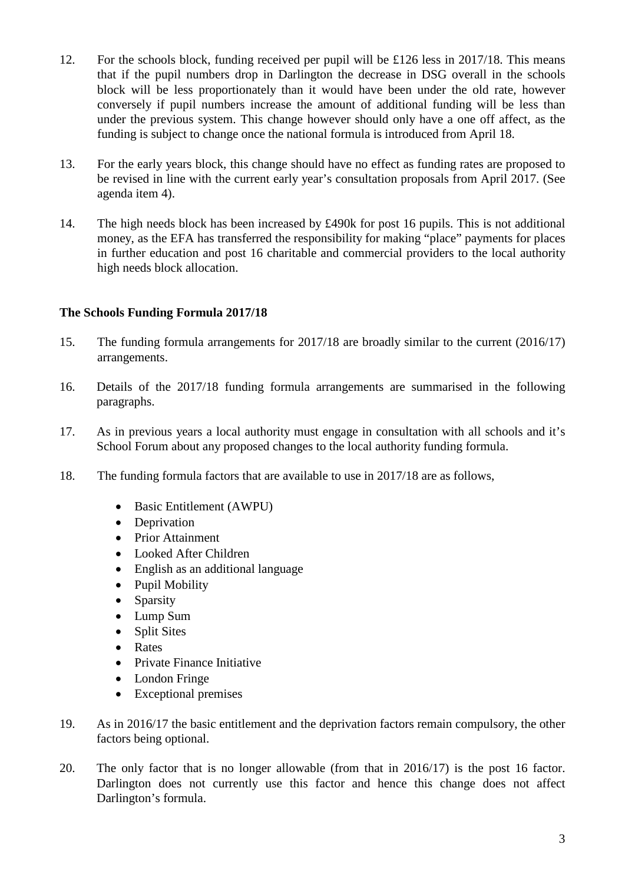- 12. For the schools block, funding received per pupil will be £126 less in 2017/18. This means that if the pupil numbers drop in Darlington the decrease in DSG overall in the schools block will be less proportionately than it would have been under the old rate, however conversely if pupil numbers increase the amount of additional funding will be less than under the previous system. This change however should only have a one off affect, as the funding is subject to change once the national formula is introduced from April 18.
- 13. For the early years block, this change should have no effect as funding rates are proposed to be revised in line with the current early year's consultation proposals from April 2017. (See agenda item 4).
- 14. The high needs block has been increased by £490k for post 16 pupils. This is not additional money, as the EFA has transferred the responsibility for making "place" payments for places in further education and post 16 charitable and commercial providers to the local authority high needs block allocation.

## **The Schools Funding Formula 2017/18**

- 15. The funding formula arrangements for 2017/18 are broadly similar to the current (2016/17) arrangements.
- 16. Details of the 2017/18 funding formula arrangements are summarised in the following paragraphs.
- 17. As in previous years a local authority must engage in consultation with all schools and it's School Forum about any proposed changes to the local authority funding formula.
- 18. The funding formula factors that are available to use in 2017/18 are as follows,
	- Basic Entitlement (AWPU)
	- Deprivation
	- Prior Attainment
	- Looked After Children
	- English as an additional language
	- Pupil Mobility
	- Sparsity
	- Lump Sum
	- Split Sites
	- Rates
	- Private Finance Initiative
	- London Fringe
	- Exceptional premises
- 19. As in 2016/17 the basic entitlement and the deprivation factors remain compulsory, the other factors being optional.
- 20. The only factor that is no longer allowable (from that in 2016/17) is the post 16 factor. Darlington does not currently use this factor and hence this change does not affect Darlington's formula.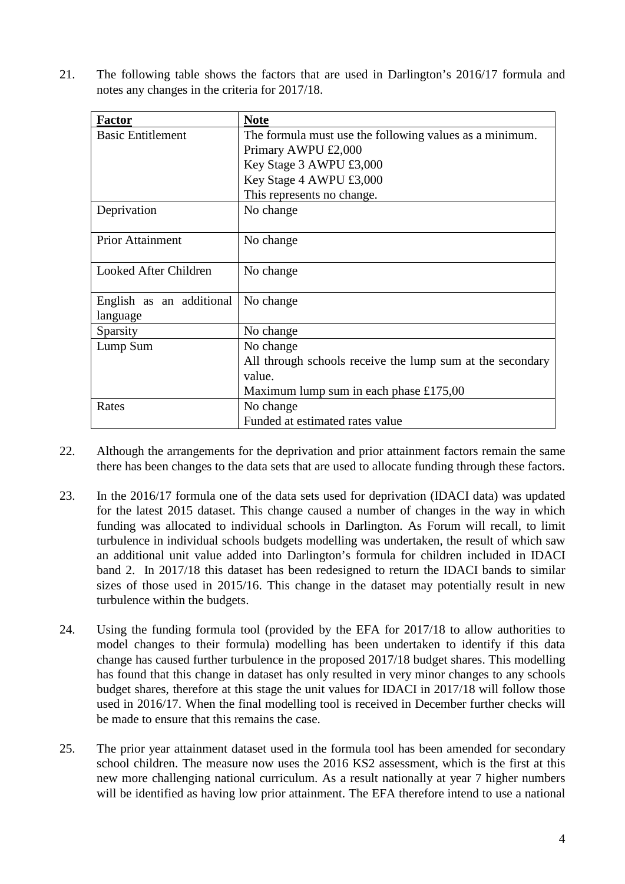21. The following table shows the factors that are used in Darlington's 2016/17 formula and notes any changes in the criteria for 2017/18.

| <b>Factor</b>            | <b>Note</b>                                               |
|--------------------------|-----------------------------------------------------------|
| <b>Basic Entitlement</b> | The formula must use the following values as a minimum.   |
|                          | Primary AWPU £2,000                                       |
|                          | Key Stage 3 AWPU £3,000                                   |
|                          | Key Stage 4 AWPU £3,000                                   |
|                          | This represents no change.                                |
| Deprivation              | No change                                                 |
|                          |                                                           |
| <b>Prior Attainment</b>  | No change                                                 |
|                          |                                                           |
| Looked After Children    | No change                                                 |
|                          |                                                           |
| English as an additional | No change                                                 |
| language                 |                                                           |
| Sparsity                 | No change                                                 |
| Lump Sum                 | No change                                                 |
|                          | All through schools receive the lump sum at the secondary |
|                          | value.                                                    |
|                          | Maximum lump sum in each phase £175,00                    |
| Rates                    | No change                                                 |
|                          | Funded at estimated rates value                           |

- 22. Although the arrangements for the deprivation and prior attainment factors remain the same there has been changes to the data sets that are used to allocate funding through these factors.
- 23. In the 2016/17 formula one of the data sets used for deprivation (IDACI data) was updated for the latest 2015 dataset. This change caused a number of changes in the way in which funding was allocated to individual schools in Darlington. As Forum will recall, to limit turbulence in individual schools budgets modelling was undertaken, the result of which saw an additional unit value added into Darlington's formula for children included in IDACI band 2. In 2017/18 this dataset has been redesigned to return the IDACI bands to similar sizes of those used in 2015/16. This change in the dataset may potentially result in new turbulence within the budgets.
- 24. Using the funding formula tool (provided by the EFA for 2017/18 to allow authorities to model changes to their formula) modelling has been undertaken to identify if this data change has caused further turbulence in the proposed 2017/18 budget shares. This modelling has found that this change in dataset has only resulted in very minor changes to any schools budget shares, therefore at this stage the unit values for IDACI in 2017/18 will follow those used in 2016/17. When the final modelling tool is received in December further checks will be made to ensure that this remains the case.
- 25. The prior year attainment dataset used in the formula tool has been amended for secondary school children. The measure now uses the 2016 KS2 assessment, which is the first at this new more challenging national curriculum. As a result nationally at year 7 higher numbers will be identified as having low prior attainment. The EFA therefore intend to use a national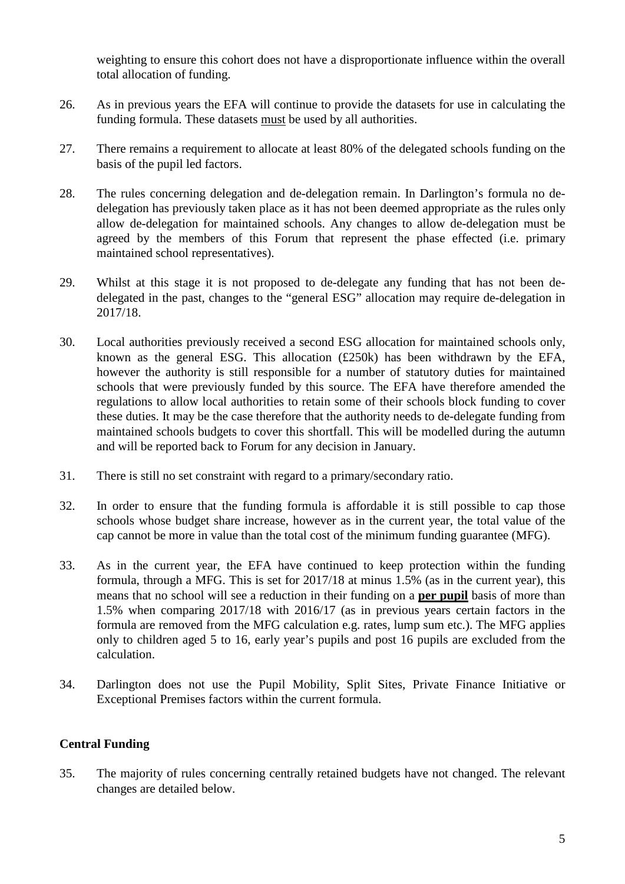weighting to ensure this cohort does not have a disproportionate influence within the overall total allocation of funding.

- 26. As in previous years the EFA will continue to provide the datasets for use in calculating the funding formula. These datasets must be used by all authorities.
- 27. There remains a requirement to allocate at least 80% of the delegated schools funding on the basis of the pupil led factors.
- 28. The rules concerning delegation and de-delegation remain. In Darlington's formula no dedelegation has previously taken place as it has not been deemed appropriate as the rules only allow de-delegation for maintained schools. Any changes to allow de-delegation must be agreed by the members of this Forum that represent the phase effected (i.e. primary maintained school representatives).
- 29. Whilst at this stage it is not proposed to de-delegate any funding that has not been dedelegated in the past, changes to the "general ESG" allocation may require de-delegation in 2017/18.
- 30. Local authorities previously received a second ESG allocation for maintained schools only, known as the general ESG. This allocation (£250k) has been withdrawn by the EFA, however the authority is still responsible for a number of statutory duties for maintained schools that were previously funded by this source. The EFA have therefore amended the regulations to allow local authorities to retain some of their schools block funding to cover these duties. It may be the case therefore that the authority needs to de-delegate funding from maintained schools budgets to cover this shortfall. This will be modelled during the autumn and will be reported back to Forum for any decision in January.
- 31. There is still no set constraint with regard to a primary/secondary ratio.
- 32. In order to ensure that the funding formula is affordable it is still possible to cap those schools whose budget share increase, however as in the current year, the total value of the cap cannot be more in value than the total cost of the minimum funding guarantee (MFG).
- 33. As in the current year, the EFA have continued to keep protection within the funding formula, through a MFG. This is set for 2017/18 at minus 1.5% (as in the current year), this means that no school will see a reduction in their funding on a **per pupil** basis of more than 1.5% when comparing 2017/18 with 2016/17 (as in previous years certain factors in the formula are removed from the MFG calculation e.g. rates, lump sum etc.). The MFG applies only to children aged 5 to 16, early year's pupils and post 16 pupils are excluded from the calculation.
- 34. Darlington does not use the Pupil Mobility, Split Sites, Private Finance Initiative or Exceptional Premises factors within the current formula.

### **Central Funding**

35. The majority of rules concerning centrally retained budgets have not changed. The relevant changes are detailed below.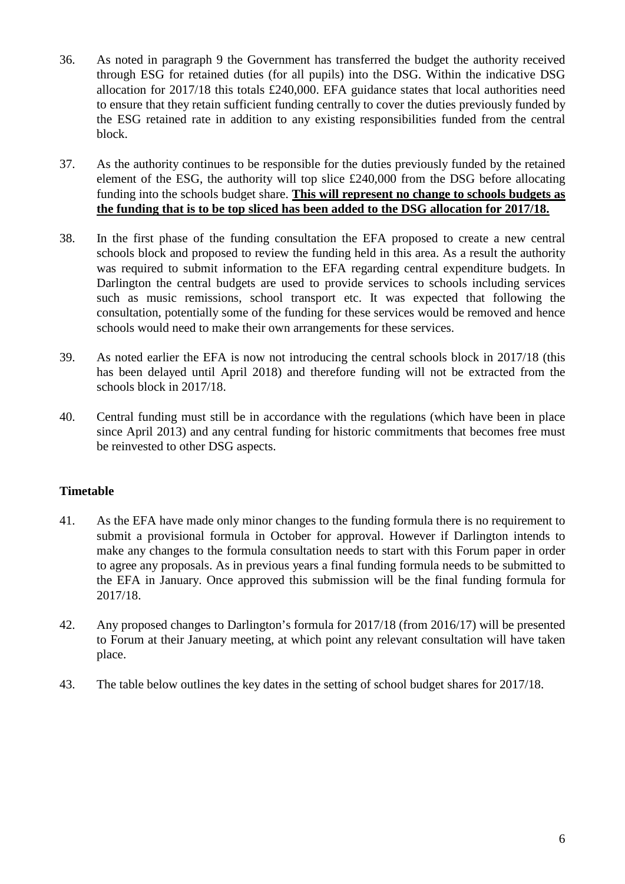- 36. As noted in paragraph 9 the Government has transferred the budget the authority received through ESG for retained duties (for all pupils) into the DSG. Within the indicative DSG allocation for 2017/18 this totals £240,000. EFA guidance states that local authorities need to ensure that they retain sufficient funding centrally to cover the duties previously funded by the ESG retained rate in addition to any existing responsibilities funded from the central block.
- 37. As the authority continues to be responsible for the duties previously funded by the retained element of the ESG, the authority will top slice £240,000 from the DSG before allocating funding into the schools budget share. **This will represent no change to schools budgets as the funding that is to be top sliced has been added to the DSG allocation for 2017/18.**
- 38. In the first phase of the funding consultation the EFA proposed to create a new central schools block and proposed to review the funding held in this area. As a result the authority was required to submit information to the EFA regarding central expenditure budgets. In Darlington the central budgets are used to provide services to schools including services such as music remissions, school transport etc. It was expected that following the consultation, potentially some of the funding for these services would be removed and hence schools would need to make their own arrangements for these services.
- 39. As noted earlier the EFA is now not introducing the central schools block in 2017/18 (this has been delayed until April 2018) and therefore funding will not be extracted from the schools block in 2017/18.
- 40. Central funding must still be in accordance with the regulations (which have been in place since April 2013) and any central funding for historic commitments that becomes free must be reinvested to other DSG aspects.

# **Timetable**

- 41. As the EFA have made only minor changes to the funding formula there is no requirement to submit a provisional formula in October for approval. However if Darlington intends to make any changes to the formula consultation needs to start with this Forum paper in order to agree any proposals. As in previous years a final funding formula needs to be submitted to the EFA in January. Once approved this submission will be the final funding formula for 2017/18.
- 42. Any proposed changes to Darlington's formula for 2017/18 (from 2016/17) will be presented to Forum at their January meeting, at which point any relevant consultation will have taken place.
- 43. The table below outlines the key dates in the setting of school budget shares for 2017/18.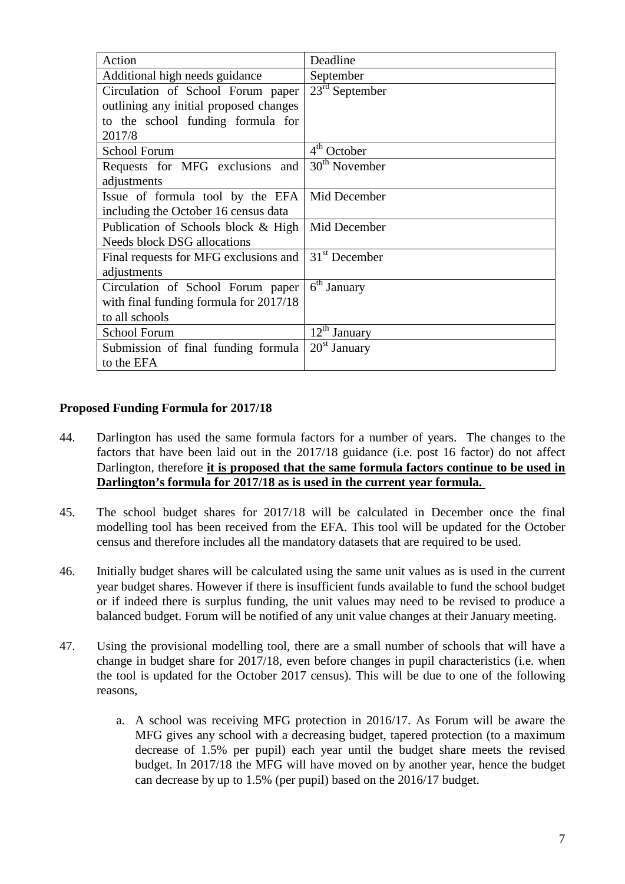| Action                                 | Deadline                 |
|----------------------------------------|--------------------------|
| Additional high needs guidance         | September                |
| Circulation of School Forum paper      | $23rd$ September         |
| outlining any initial proposed changes |                          |
| to the school funding formula for      |                          |
| 2017/8                                 |                          |
| <b>School Forum</b>                    | 4 <sup>th</sup> October  |
| Requests for MFG exclusions and        | $30th$ November          |
| adjustments                            |                          |
| Issue of formula tool by the EFA       | Mid December             |
| including the October 16 census data   |                          |
| Publication of Schools block & High    | Mid December             |
| <b>Needs block DSG allocations</b>     |                          |
| Final requests for MFG exclusions and  | $31st$ December          |
| adjustments                            |                          |
| Circulation of School Forum paper      | 6 <sup>th</sup> January  |
| with final funding formula for 2017/18 |                          |
| to all schools                         |                          |
| School Forum                           | $12^{\text{th}}$ January |
| Submission of final funding formula    | $20st$ January           |
| to the EFA                             |                          |

### **Proposed Funding Formula for 2017/18**

- 44. Darlington has used the same formula factors for a number of years. The changes to the factors that have been laid out in the 2017/18 guidance (i.e. post 16 factor) do not affect Darlington, therefore **it is proposed that the same formula factors continue to be used in Darlington's formula for 2017/18 as is used in the current year formula.**
- 45. The school budget shares for 2017/18 will be calculated in December once the final modelling tool has been received from the EFA. This tool will be updated for the October census and therefore includes all the mandatory datasets that are required to be used.
- 46. Initially budget shares will be calculated using the same unit values as is used in the current year budget shares. However if there is insufficient funds available to fund the school budget or if indeed there is surplus funding, the unit values may need to be revised to produce a balanced budget. Forum will be notified of any unit value changes at their January meeting.
- 47. Using the provisional modelling tool, there are a small number of schools that will have a change in budget share for 2017/18, even before changes in pupil characteristics (i.e. when the tool is updated for the October 2017 census). This will be due to one of the following reasons,
	- a. A school was receiving MFG protection in 2016/17. As Forum will be aware the MFG gives any school with a decreasing budget, tapered protection (to a maximum decrease of 1.5% per pupil) each year until the budget share meets the revised budget. In 2017/18 the MFG will have moved on by another year, hence the budget can decrease by up to 1.5% (per pupil) based on the 2016/17 budget.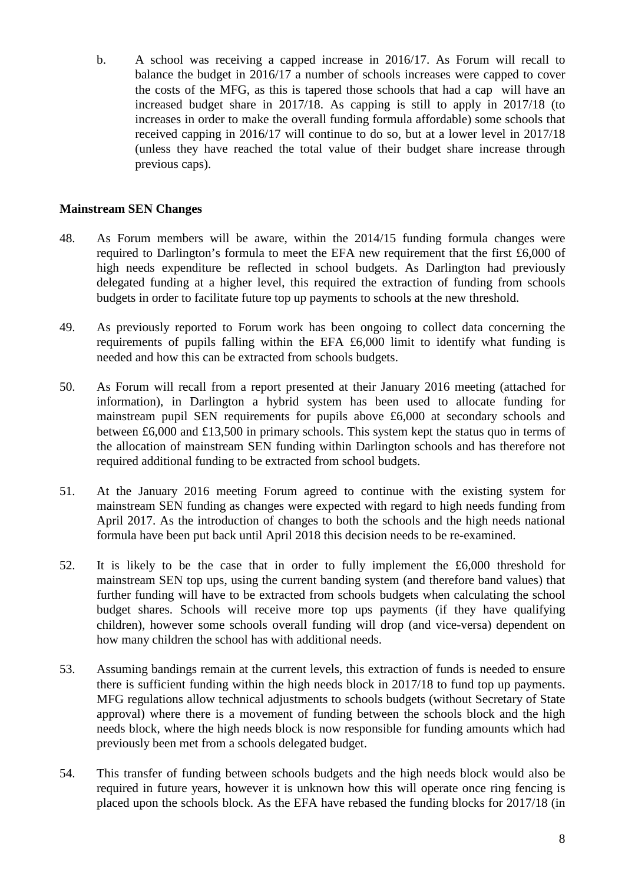b. A school was receiving a capped increase in 2016/17. As Forum will recall to balance the budget in 2016/17 a number of schools increases were capped to cover the costs of the MFG, as this is tapered those schools that had a cap will have an increased budget share in 2017/18. As capping is still to apply in 2017/18 (to increases in order to make the overall funding formula affordable) some schools that received capping in 2016/17 will continue to do so, but at a lower level in 2017/18 (unless they have reached the total value of their budget share increase through previous caps).

### **Mainstream SEN Changes**

- 48. As Forum members will be aware, within the 2014/15 funding formula changes were required to Darlington's formula to meet the EFA new requirement that the first £6,000 of high needs expenditure be reflected in school budgets. As Darlington had previously delegated funding at a higher level, this required the extraction of funding from schools budgets in order to facilitate future top up payments to schools at the new threshold.
- 49. As previously reported to Forum work has been ongoing to collect data concerning the requirements of pupils falling within the EFA £6,000 limit to identify what funding is needed and how this can be extracted from schools budgets.
- 50. As Forum will recall from a report presented at their January 2016 meeting (attached for information), in Darlington a hybrid system has been used to allocate funding for mainstream pupil SEN requirements for pupils above £6,000 at secondary schools and between £6,000 and £13,500 in primary schools. This system kept the status quo in terms of the allocation of mainstream SEN funding within Darlington schools and has therefore not required additional funding to be extracted from school budgets.
- 51. At the January 2016 meeting Forum agreed to continue with the existing system for mainstream SEN funding as changes were expected with regard to high needs funding from April 2017. As the introduction of changes to both the schools and the high needs national formula have been put back until April 2018 this decision needs to be re-examined.
- 52. It is likely to be the case that in order to fully implement the £6,000 threshold for mainstream SEN top ups, using the current banding system (and therefore band values) that further funding will have to be extracted from schools budgets when calculating the school budget shares. Schools will receive more top ups payments (if they have qualifying children), however some schools overall funding will drop (and vice-versa) dependent on how many children the school has with additional needs.
- 53. Assuming bandings remain at the current levels, this extraction of funds is needed to ensure there is sufficient funding within the high needs block in 2017/18 to fund top up payments. MFG regulations allow technical adjustments to schools budgets (without Secretary of State approval) where there is a movement of funding between the schools block and the high needs block, where the high needs block is now responsible for funding amounts which had previously been met from a schools delegated budget.
- 54. This transfer of funding between schools budgets and the high needs block would also be required in future years, however it is unknown how this will operate once ring fencing is placed upon the schools block. As the EFA have rebased the funding blocks for 2017/18 (in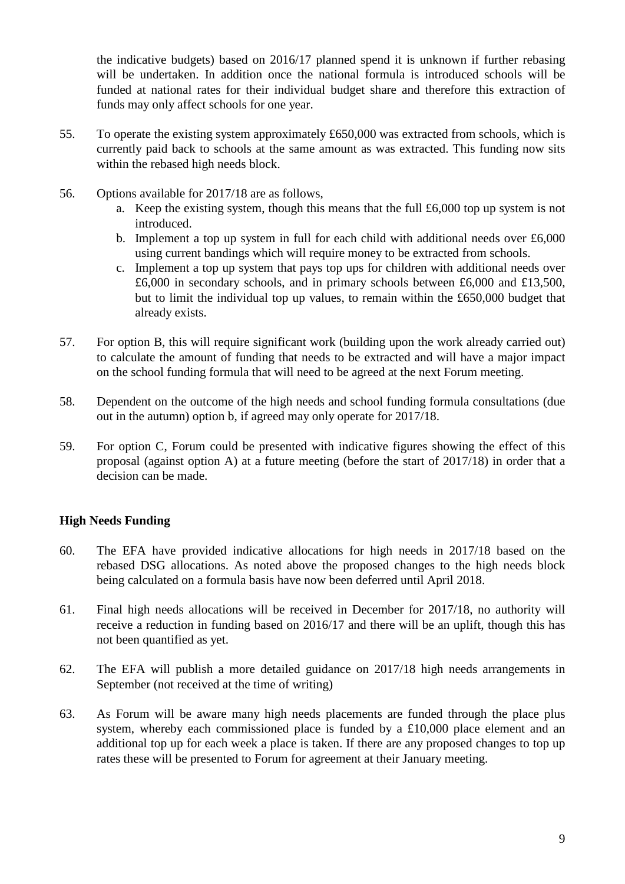the indicative budgets) based on 2016/17 planned spend it is unknown if further rebasing will be undertaken. In addition once the national formula is introduced schools will be funded at national rates for their individual budget share and therefore this extraction of funds may only affect schools for one year.

- 55. To operate the existing system approximately £650,000 was extracted from schools, which is currently paid back to schools at the same amount as was extracted. This funding now sits within the rebased high needs block.
- 56. Options available for 2017/18 are as follows,
	- a. Keep the existing system, though this means that the full £6,000 top up system is not introduced.
	- b. Implement a top up system in full for each child with additional needs over £6,000 using current bandings which will require money to be extracted from schools.
	- c. Implement a top up system that pays top ups for children with additional needs over £6,000 in secondary schools, and in primary schools between £6,000 and £13,500, but to limit the individual top up values, to remain within the £650,000 budget that already exists.
- 57. For option B, this will require significant work (building upon the work already carried out) to calculate the amount of funding that needs to be extracted and will have a major impact on the school funding formula that will need to be agreed at the next Forum meeting.
- 58. Dependent on the outcome of the high needs and school funding formula consultations (due out in the autumn) option b, if agreed may only operate for 2017/18.
- 59. For option C, Forum could be presented with indicative figures showing the effect of this proposal (against option A) at a future meeting (before the start of 2017/18) in order that a decision can be made.

### **High Needs Funding**

- 60. The EFA have provided indicative allocations for high needs in 2017/18 based on the rebased DSG allocations. As noted above the proposed changes to the high needs block being calculated on a formula basis have now been deferred until April 2018.
- 61. Final high needs allocations will be received in December for 2017/18, no authority will receive a reduction in funding based on 2016/17 and there will be an uplift, though this has not been quantified as yet.
- 62. The EFA will publish a more detailed guidance on 2017/18 high needs arrangements in September (not received at the time of writing)
- 63. As Forum will be aware many high needs placements are funded through the place plus system, whereby each commissioned place is funded by a £10,000 place element and an additional top up for each week a place is taken. If there are any proposed changes to top up rates these will be presented to Forum for agreement at their January meeting.